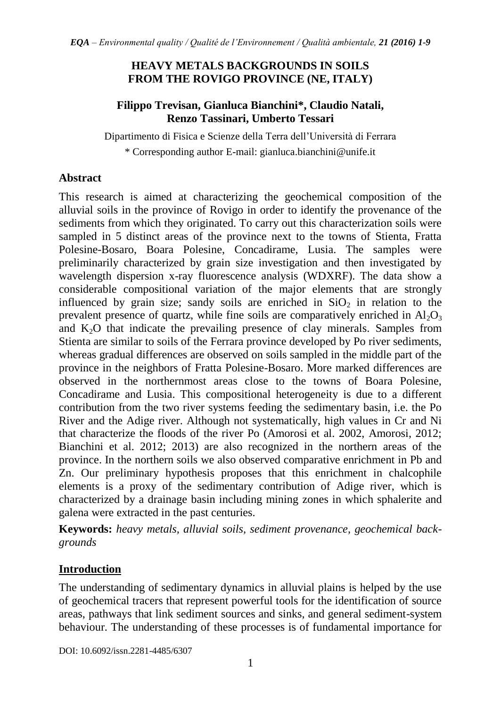## **HEAVY METALS BACKGROUNDS IN SOILS FROM THE ROVIGO PROVINCE (NE, ITALY)**

#### **Filippo Trevisan, Gianluca Bianchini\*, Claudio Natali, Renzo Tassinari, Umberto Tessari**

Dipartimento di Fisica e Scienze della Terra dell'Università di Ferrara

\* Corresponding author E-mail: [gianluca.bianchini@unife.it](mailto:gianluca.bianchini@unife.it)

## **Abstract**

This research is aimed at characterizing the geochemical composition of the alluvial soils in the province of Rovigo in order to identify the provenance of the sediments from which they originated. To carry out this characterization soils were sampled in 5 distinct areas of the province next to the towns of Stienta, Fratta Polesine-Bosaro, Boara Polesine, Concadirame, Lusia. The samples were preliminarily characterized by grain size investigation and then investigated by wavelength dispersion x-ray fluorescence analysis (WDXRF). The data show a considerable compositional variation of the major elements that are strongly influenced by grain size; sandy soils are enriched in  $SiO<sub>2</sub>$  in relation to the prevalent presence of quartz, while fine soils are comparatively enriched in  $Al_2O_3$ and  $K<sub>2</sub>O$  that indicate the prevailing presence of clay minerals. Samples from Stienta are similar to soils of the Ferrara province developed by Po river sediments, whereas gradual differences are observed on soils sampled in the middle part of the province in the neighbors of Fratta Polesine-Bosaro. More marked differences are observed in the northernmost areas close to the towns of Boara Polesine, Concadirame and Lusia. This compositional heterogeneity is due to a different contribution from the two river systems feeding the sedimentary basin, i.e. the Po River and the Adige river. Although not systematically, high values in Cr and Ni that characterize the floods of the river Po (Amorosi et al. 2002, Amorosi, 2012; Bianchini et al. 2012; 2013) are also recognized in the northern areas of the province. In the northern soils we also observed comparative enrichment in Pb and Zn. Our preliminary hypothesis proposes that this enrichment in chalcophile elements is a proxy of the sedimentary contribution of Adige river, which is characterized by a drainage basin including mining zones in which sphalerite and galena were extracted in the past centuries.

**Keywords:** *heavy metals, alluvial soils, sediment provenance, geochemical backgrounds*

# **Introduction**

The understanding of sedimentary dynamics in alluvial plains is helped by the use of geochemical tracers that represent powerful tools for the identification of source areas, pathways that link sediment sources and sinks, and general sediment-system behaviour. The understanding of these processes is of fundamental importance for

DOI: 10.6092/issn.2281-4485/6307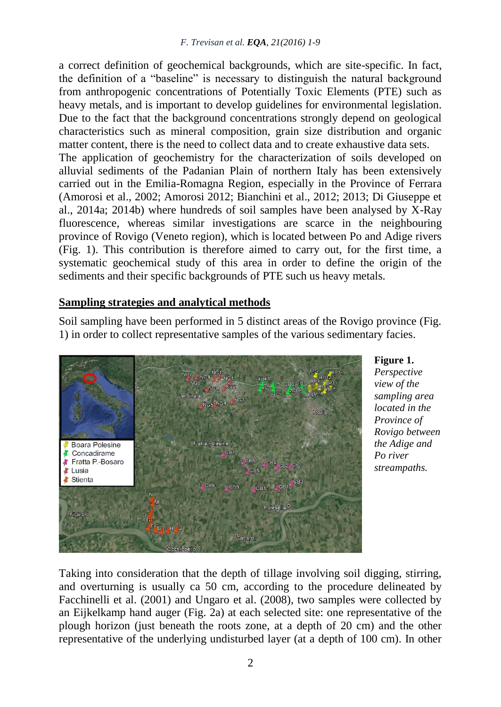a correct definition of geochemical backgrounds, which are site-specific. In fact, the definition of a "baseline" is necessary to distinguish the natural background from anthropogenic concentrations of Potentially Toxic Elements (PTE) such as heavy metals, and is important to develop guidelines for environmental legislation. Due to the fact that the background concentrations strongly depend on geological characteristics such as mineral composition, grain size distribution and organic matter content, there is the need to collect data and to create exhaustive data sets. The application of geochemistry for the characterization of soils developed on alluvial sediments of the Padanian Plain of northern Italy has been extensively carried out in the Emilia-Romagna Region, especially in the Province of Ferrara (Amorosi et al., 2002; Amorosi 2012; Bianchini et al., 2012; 2013; Di Giuseppe et al., 2014a; 2014b) where hundreds of soil samples have been analysed by X-Ray fluorescence, whereas similar investigations are scarce in the neighbouring province of Rovigo (Veneto region), which is located between Po and Adige rivers

(Fig. 1). This contribution is therefore aimed to carry out, for the first time, a systematic geochemical study of this area in order to define the origin of the sediments and their specific backgrounds of PTE such us heavy metals.

## **Sampling strategies and analytical methods**

Soil sampling have been performed in 5 distinct areas of the Rovigo province (Fig. 1) in order to collect representative samples of the various sedimentary facies.



#### **Figure 1.**

*Perspective view of the sampling area located in the Province of Rovigo between the Adige and Po river streampaths.*

Taking into consideration that the depth of tillage involving soil digging, stirring, and overturning is usually ca 50 cm, according to the procedure delineated by Facchinelli et al. (2001) and Ungaro et al. (2008), two samples were collected by an Eijkelkamp hand auger (Fig. 2a) at each selected site: one representative of the plough horizon (just beneath the roots zone, at a depth of 20 cm) and the other representative of the underlying undisturbed layer (at a depth of 100 cm). In other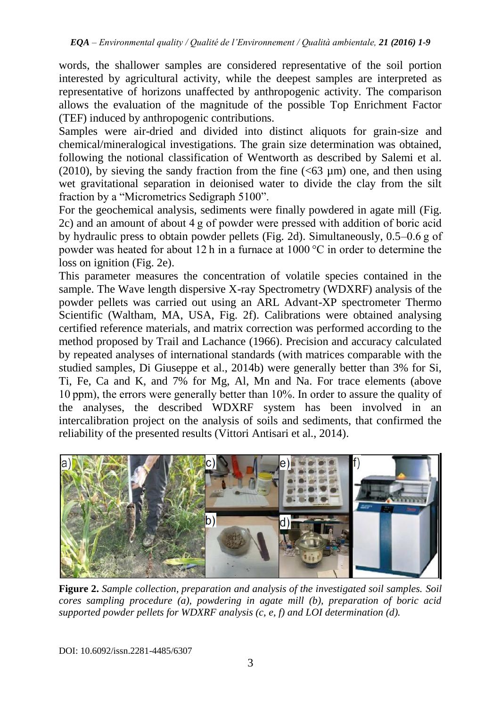words, the shallower samples are considered representative of the soil portion interested by agricultural activity, while the deepest samples are interpreted as representative of horizons unaffected by anthropogenic activity. The comparison allows the evaluation of the magnitude of the possible Top Enrichment Factor (TEF) induced by anthropogenic contributions.

Samples were air-dried and divided into distinct aliquots for grain-size and chemical/mineralogical investigations. The grain size determination was obtained, following the notional classification of Wentworth as described by Salemi et al. (2010), by sieving the sandy fraction from the fine  $( $63 \mu m$ ) one, and then using$ wet gravitational separation in deionised water to divide the clay from the silt fraction by a "Micrometrics Sedigraph 5100".

For the geochemical analysis, sediments were finally powdered in agate mill (Fig. 2c) and an amount of about 4 g of powder were pressed with addition of boric acid by hydraulic press to obtain powder pellets (Fig. 2d). Simultaneously, 0.5–0.6 g of powder was heated for about 12 h in a furnace at 1000 °C in order to determine the loss on ignition (Fig. 2e).

This parameter measures the concentration of volatile species contained in the sample. The Wave length dispersive X-ray Spectrometry (WDXRF) analysis of the powder pellets was carried out using an ARL Advant-XP spectrometer Thermo Scientific (Waltham, MA, USA, Fig. 2f). Calibrations were obtained analysing certified reference materials, and matrix correction was performed according to the method proposed by Trail and Lachance (1966). Precision and accuracy calculated by repeated analyses of international standards (with matrices comparable with the studied samples, Di Giuseppe et al., 2014b) were generally better than 3% for Si, Ti, Fe, Ca and K, and 7% for Mg, Al, Mn and Na. For trace elements (above 10 ppm), the errors were generally better than 10%. In order to assure the quality of the analyses, the described WDXRF system has been involved in an intercalibration project on the analysis of soils and sediments, that confirmed the reliability of the presented results (Vittori Antisari et al., 2014).



**Figure 2.** *Sample collection, preparation and analysis of the investigated soil samples. Soil cores sampling procedure (a), powdering in agate mill (b), preparation of boric acid supported powder pellets for WDXRF analysis (c, e, f) and LOI determination (d).*

DOI: 10.6092/issn.2281-4485/6307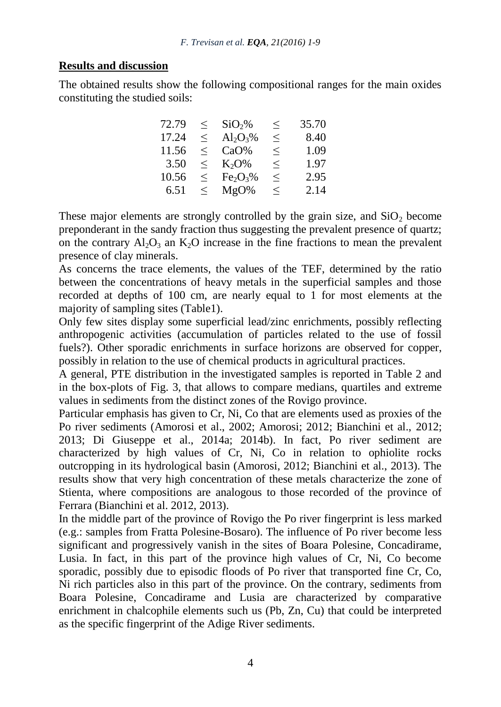#### **Results and discussion**

The obtained results show the following compositional ranges for the main oxides constituting the studied soils:

| 72.79 | $\lt$  | SiO <sub>2</sub> %               | $\leq$ | 35.70 |
|-------|--------|----------------------------------|--------|-------|
| 17.24 | $\leq$ | $Al_2O_3\%$                      | $\leq$ | 8.40  |
| 11.56 | $\lt$  | CaO%                             | $\leq$ | 1.09  |
| 3.50  | $\leq$ | $K_2O\%$                         | $\leq$ | 1.97  |
| 10.56 | $\lt$  | Fe <sub>2</sub> O <sub>3</sub> % | $\leq$ | 2.95  |
| 6.51  | $\leq$ | $MgO\%$                          | $\leq$ | 2.14  |

These major elements are strongly controlled by the grain size, and  $SiO<sub>2</sub>$  become preponderant in the sandy fraction thus suggesting the prevalent presence of quartz; on the contrary  $Al_2O_3$  an  $K_2O$  increase in the fine fractions to mean the prevalent presence of clay minerals.

As concerns the trace elements, the values of the TEF, determined by the ratio between the concentrations of heavy metals in the superficial samples and those recorded at depths of 100 cm, are nearly equal to  $\overline{1}$  for most elements at the majority of sampling sites (Table1).

Only few sites display some superficial lead/zinc enrichments, possibly reflecting anthropogenic activities (accumulation of particles related to the use of fossil fuels?). Other sporadic enrichments in surface horizons are observed for copper, possibly in relation to the use of chemical products in agricultural practices.

A general, PTE distribution in the investigated samples is reported in Table 2 and in the box-plots of Fig. 3, that allows to compare medians, quartiles and extreme values in sediments from the distinct zones of the Rovigo province.

Particular emphasis has given to Cr, Ni, Co that are elements used as proxies of the Po river sediments (Amorosi et al., 2002; Amorosi; 2012; Bianchini et al., 2012; 2013; Di Giuseppe et al., 2014a; 2014b). In fact, Po river sediment are characterized by high values of Cr, Ni, Co in relation to ophiolite rocks outcropping in its hydrological basin (Amorosi, 2012; Bianchini et al., 2013). The results show that very high concentration of these metals characterize the zone of Stienta, where compositions are analogous to those recorded of the province of Ferrara (Bianchini et al. 2012, 2013).

In the middle part of the province of Rovigo the Po river fingerprint is less marked (e.g.: samples from Fratta Polesine-Bosaro). The influence of Po river become less significant and progressively vanish in the sites of Boara Polesine, Concadirame, Lusia. In fact, in this part of the province high values of Cr, Ni, Co become sporadic, possibly due to episodic floods of Po river that transported fine Cr, Co, Ni rich particles also in this part of the province. On the contrary, sediments from Boara Polesine, Concadirame and Lusia are characterized by comparative enrichment in chalcophile elements such us (Pb, Zn, Cu) that could be interpreted as the specific fingerprint of the Adige River sediments.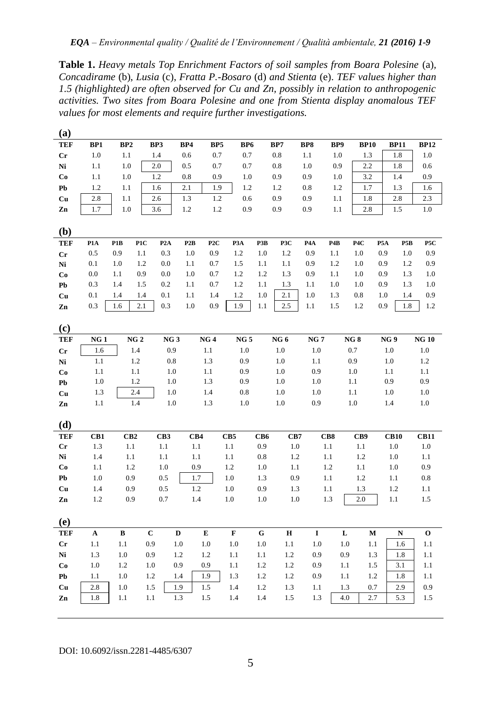**Table 1.** *Heavy metals Top Enrichment Factors of soil samples from Boara Polesine* (a)*, Concadirame* (b), *Lusia* (c), *Fratta P.-Bosaro* (d) *and Stienta* (e). *TEF values higher than 1.5 (highlighted) are often observed for Cu and Zn, possibly in relation to anthropogenic activities. Two sites from Boara Polesine and one from Stienta display anomalous TEF values for most elements and require further investigations.*

| (a)         |                 |                         |                 |                         |            |                 |                 |                  |                  |             |                                      |              |
|-------------|-----------------|-------------------------|-----------------|-------------------------|------------|-----------------|-----------------|------------------|------------------|-------------|--------------------------------------|--------------|
| <b>TEF</b>  | BP1             | BP2                     | BP3             | BP4<br>BP5              | BP6        |                 | BP7             | BP8              | BP9              | <b>BP10</b> | <b>BP11</b>                          | <b>BP12</b>  |
| $_{\rm Cr}$ | $1.0\,$         | 1.1                     | 1.4             | 0.6<br>0.7              | 0.7        |                 | 0.8             | 1.1              | 1.0              | 1.3         | 1.8                                  | 1.0          |
| Ni          | 1.1             | 1.0                     | 2.0             | 0.5<br>0.7              | 0.7        |                 | 0.8             | $1.0\,$          | 0.9              | 2.2         | 1.8                                  | 0.6          |
| Co          | 1.1             | 1.0                     | 1.2             | 0.8<br>0.9              | $1.0\,$    |                 | 0.9             | 0.9              | 1.0              | 3.2         | 1.4                                  | 0.9          |
| Pb          | 1.2             | 1.1                     | 1.6             | 2.1<br>1.9              | 1.2        |                 | 1.2             | 0.8              | 1.2              | 1.7         | 1.3                                  | 1.6          |
| Cu          | 2.8             | 1.1                     | 2.6             | 1.2<br>1.3              | 0.6        |                 | 0.9             | 0.9              | 1.1              | 1.8         | 2.8                                  | 2.3          |
| Zn          | 1.7             | 1.0                     | 3.6             | 1.2<br>1.2              | 0.9        |                 | 0.9             | 0.9              | 1.1              | 2.8         | 1.5                                  | $1.0\,$      |
|             |                 |                         |                 |                         |            |                 |                 |                  |                  |             |                                      |              |
| (b)         |                 |                         |                 |                         |            |                 |                 |                  |                  |             |                                      |              |
| <b>TEF</b>  | P1A             | P <sub>1</sub> B<br>P1C | P2A             | P2B<br>P <sub>2</sub> C | P3A        | P3B             | P3C             | P <sub>4</sub> A | P <sub>4</sub> B | P4C         | P <sub>5</sub> A<br>P <sub>5</sub> B | P5C          |
| Cr          | 0.5             | 0.9<br>1.1              | 0.3             | 1.0<br>0.9              | 1.2        | 1.0             | 1.2             | 0.9              | 1.1              | 1.0         | 0.9<br>1.0                           | 0.9          |
| Ni          | 0.1             | 1.2<br>1.0              | 0.0             | 0.7<br>1.1              | 1.5        | 1.1             | 1.1             | 0.9              | 1.2              | 1.0         | 0.9<br>1.2                           | 0.9          |
| Co          | 0.0             | 0.9<br>1.1              | 0.0             | 1.0<br>0.7              | 1.2        | 1.2             | 1.3             | 0.9              | 1.1              | 1.0         | 0.9<br>1.3                           | 1.0          |
| Pb          | 0.3             | 1.5<br>1.4              | 0.2             | 0.7<br>1.1              | 1.2        | 1.1             | 1.3             | 1.1              | 1.0              | 1.0         | 0.9<br>1.3                           | 1.0          |
| Cu          | 0.1             | 1.4<br>1.4              | 0.1             | 1.1<br>1.4              | 1.2        | 1.0             | 2.1             | 1.0              | 1.3              | 0.8         | 1.0<br>1.4                           | 0.9          |
| Zn          | 0.3             | 2.1<br>1.6              | 0.3             | 0.9<br>1.0              | 1.9        | 1.1             | 2.5             | 1.1              | 1.5              | 1.2         | 0.9<br>1.8                           | 1.2          |
|             |                 |                         |                 |                         |            |                 |                 |                  |                  |             |                                      |              |
| (c)         |                 |                         |                 |                         |            |                 |                 |                  |                  |             |                                      |              |
| <b>TEF</b>  | NG <sub>1</sub> | NG 2<br>1.4             | NG <sub>3</sub> | NG <sub>4</sub>         | NG 5       |                 | NG <sub>6</sub> | <b>NG7</b>       |                  | NG8         | NG <sub>9</sub>                      | <b>NG10</b>  |
| Cr          | 1.6<br>1.1      |                         | 0.9             | 1.1                     | 1.0        |                 | 1.0             | 1.0              |                  | 0.7         | 1.0                                  | 1.0<br>1.2   |
| Ni          | 1.1             | 1.2<br>1.1              | 0.8<br>1.0      | 1.3<br>1.1              | 0.9<br>0.9 |                 | 1.0<br>1.0      | 1.1<br>0.9       |                  | 0.9<br>1.0  | 1.0<br>1.1                           | 1.1          |
| Co          | 1.0             | 1.2                     | 1.0             | 1.3                     | 0.9        |                 | 1.0             | 1.0              |                  | 1.1         | 0.9                                  | 0.9          |
| Pb          | 1.3             | 2.4                     | 1.0             | 1.4                     | 0.8        |                 | 1.0             | 1.0              |                  | 1.1         | 1.0                                  | $1.0\,$      |
| Cu<br>Zn    | 1.1             | 1.4                     | 1.0             | 1.3                     | 1.0        |                 | 1.0             | 0.9              |                  | $1.0\,$     | 1.4                                  | $1.0\,$      |
|             |                 |                         |                 |                         |            |                 |                 |                  |                  |             |                                      |              |
| (d)         |                 |                         |                 |                         |            |                 |                 |                  |                  |             |                                      |              |
| <b>TEF</b>  | CB1             | CB2                     | CB <sub>3</sub> | CB4                     | CB5        | CB <sub>6</sub> | CB7             | CB8              |                  | CB9         | <b>CB10</b>                          | <b>CB11</b>  |
| Cr          | 1.3             | 1.1                     | 1.1             | 1.1                     | 1.1        | 0.9             | 1.0             | 1.1              |                  | 1.1         | 1.0                                  | 1.0          |
| Ni          | 1.4             | 1.1                     | 1.1             | 1.1                     | 1.1        | 0.8             | 1.2             | 1.1              |                  | 1.2         | 1.0                                  | 1.1          |
| Co          | 1.1             | 1.2                     | 1.0             | 0.9                     | 1.2        | 1.0             | 1.1             | 1.2              |                  | 1.1         | 1.0                                  | 0.9          |
| Pb          | 1.0             | 0.9                     | 0.5             | 1.7                     | 1.0        | 1.3             | 0.9             | 1.1              |                  | 1.2         | 1.1                                  | 0.8          |
| Cu          | 1.4             | 0.9                     | 0.5             | 1.2                     | 1.0        | 0.9             | 1.3             | 1.1              |                  | 1.3         | 1.2                                  | 1.1          |
| Zn          | 1.2             | 0.9                     | 0.7             | 1.4                     | 1.0        | 1.0             | 1.0             | 1.3              |                  | 2.0         | 1.1                                  | 1.5          |
|             |                 |                         |                 |                         |            |                 |                 |                  |                  |             |                                      |              |
| (e)         |                 |                         |                 |                         |            |                 |                 |                  |                  |             |                                      |              |
| <b>TEF</b>  | A               | $\, {\bf B}$            | $\mathbf C$     | ${\bf E}$<br>D          | F          | G               | $\bf H$         | $\mathbf I$      | L                | M           | $\mathbf N$                          | $\mathbf{o}$ |
| $_{\rm Cr}$ | 1.1             | 1.1                     | 0.9             | 1.0<br>1.0              | 1.0        | $1.0\,$         | 1.1             | 1.0              | 1.0              | 1.1         | 1.6                                  | 1.1          |
| Ni          | 1.3             | 1.0                     | 0.9             | 1.2<br>1.2              | 1.1        | 1.1             | 1.2             | 0.9              | 0.9              | 1.3         | 1.8                                  | 1.1          |
| Co          | 1.0             | 1.2                     | 1.0             | 0.9<br>0.9              | 1.1        | 1.2             | 1.2             | 0.9              | 1.1              | 1.5         | 3.1                                  | 1.1          |
| Pb          | 1.1             | 1.0                     | 1.2             | 1.4<br>1.9              | 1.3        | 1.2             | 1.2             | 0.9              | 1.1              | 1.2         | 1.8                                  | 1.1          |
| Cu          | 2.8             | 1.0                     | 1.5             | 1.5<br>1.9              | 1.4        | 1.2             | 1.3             | 1.1              | 1.3              | 0.7         | 2.9                                  | 0.9          |
| Zn          | 1.8             | 1.1                     | 1.1             | 1.3<br>1.5              | 1.4        | 1.4             | 1.5             | 1.3              | 4.0              | 2.7         | 5.3                                  | 1.5          |
|             |                 |                         |                 |                         |            |                 |                 |                  |                  |             |                                      |              |

DOI: 10.6092/issn.2281-4485/6307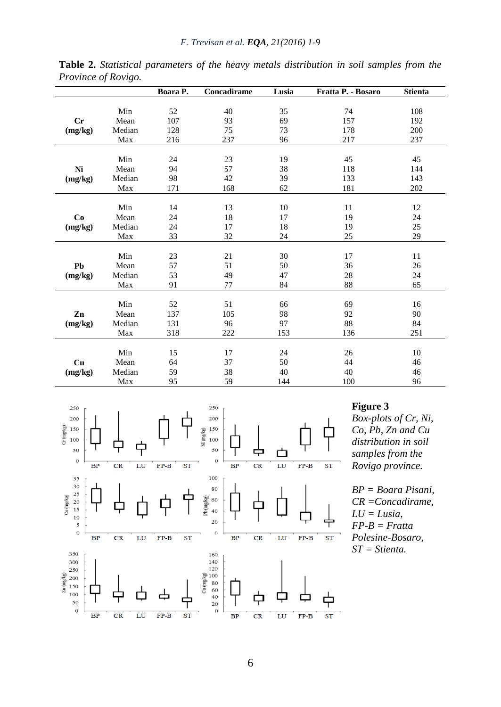|         |        | Boara P. | Concadirame | Lusia | Fratta P. - Bosaro | <b>Stienta</b> |
|---------|--------|----------|-------------|-------|--------------------|----------------|
|         |        |          |             |       |                    |                |
|         | Min    | 52       | 40          | 35    | 74                 | 108            |
| Cr      | Mean   | 107      | 93          | 69    | 157                | 192            |
| (mg/kg) | Median | 128      | 75          | 73    | 178                | 200            |
|         | Max    | 216      | 237         | 96    | 217                | 237            |
|         |        |          |             |       |                    |                |
|         | Min    | 24       | 23          | 19    | 45                 | 45             |
| Ni      | Mean   | 94       | 57          | 38    | 118                | 144            |
| (mg/kg) | Median | 98       | 42          | 39    | 133                | 143            |
|         | Max    | 171      | 168         | 62    | 181                | 202            |
|         |        |          |             |       |                    |                |
|         | Min    | 14       | 13          | 10    | 11                 | 12             |
| Co      | Mean   | 24       | 18          | 17    | 19                 | 24             |
| (mg/kg) | Median | 24       | 17          | 18    | 19                 | 25             |
|         | Max    | 33       | 32          | 24    | 25                 | 29             |
|         | Min    | 23       | 21          | 30    | 17                 | 11             |
|         |        |          |             |       |                    |                |
| Pb      | Mean   | 57       | 51          | 50    | 36                 | 26             |
| (mg/kg) | Median | 53       | 49          | 47    | 28                 | 24             |
|         | Max    | 91       | 77          | 84    | 88                 | 65             |
|         | Min    | 52       | 51          | 66    | 69                 | 16             |
| Zn      | Mean   | 137      | 105         | 98    | 92                 | 90             |
| (mg/kg) | Median | 131      | 96          | 97    | 88                 | 84             |
|         | Max    | 318      | 222         | 153   | 136                | 251            |
|         |        |          |             |       |                    |                |
|         | Min    | 15       | 17          | 24    | 26                 | 10             |
| Cu      | Mean   | 64       | 37          | 50    | 44                 | 46             |
| (mg/kg) | Median | 59       | 38          | 40    | 40                 | 46             |
|         | Max    | 95       | 59          | 144   | 100                | 96             |

**Table 2.** *Statistical parameters of the heavy metals distribution in soil samples from the Province of Rovigo.*



#### **Figure 3**

*Box-plots of Cr, Ni, Co, Pb, Zn and Cu distribution in soil samples from the Rovigo province.* 

*BP = Boara Pisani, CR =Concadirame, LU = Lusia, FP-B = Fratta Polesine-Bosaro, ST = Stienta.*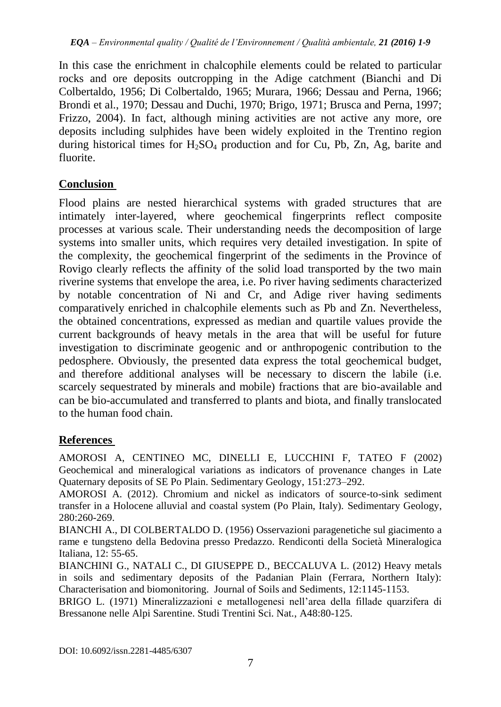In this case the enrichment in chalcophile elements could be related to particular rocks and ore deposits outcropping in the Adige catchment (Bianchi and Di Colbertaldo, 1956; Di Colbertaldo, 1965; Murara, 1966; Dessau and Perna, 1966; Brondi et al., 1970; Dessau and Duchi, 1970; Brigo, 1971; Brusca and Perna, 1997; Frizzo, 2004). In fact, although mining activities are not active any more, ore deposits including sulphides have been widely exploited in the Trentino region during historical times for  $H_2SO_4$  production and for Cu, Pb, Zn, Ag, barite and fluorite.

# **Conclusion**

Flood plains are nested hierarchical systems with graded structures that are intimately inter-layered, where geochemical fingerprints reflect composite processes at various scale. Their understanding needs the decomposition of large systems into smaller units, which requires very detailed investigation. In spite of the complexity, the geochemical fingerprint of the sediments in the Province of Rovigo clearly reflects the affinity of the solid load transported by the two main riverine systems that envelope the area, i.e. Po river having sediments characterized by notable concentration of Ni and Cr, and Adige river having sediments comparatively enriched in chalcophile elements such as Pb and Zn. Nevertheless, the obtained concentrations, expressed as median and quartile values provide the current backgrounds of heavy metals in the area that will be useful for future investigation to discriminate geogenic and or anthropogenic contribution to the pedosphere. Obviously, the presented data express the total geochemical budget, and therefore additional analyses will be necessary to discern the labile (i.e. scarcely sequestrated by minerals and mobile) fractions that are bio-available and can be bio-accumulated and transferred to plants and biota, and finally translocated to the human food chain.

# **References**

AMOROSI A, CENTINEO MC, DINELLI E, LUCCHINI F, TATEO F (2002) Geochemical and mineralogical variations as indicators of provenance changes in Late Quaternary deposits of SE Po Plain. Sedimentary Geology, 151:273–292.

AMOROSI A. (2012). Chromium and nickel as indicators of source-to-sink sediment transfer in a Holocene alluvial and coastal system (Po Plain, Italy). Sedimentary Geology, 280:260-269.

BIANCHI A., DI COLBERTALDO D. (1956) Osservazioni paragenetiche sul giacimento a rame e tungsteno della Bedovina presso Predazzo. Rendiconti della Società Mineralogica Italiana, 12: 55-65.

BIANCHINI G., NATALI C., DI GIUSEPPE D., BECCALUVA L. (2012) Heavy metals in soils and sedimentary deposits of the Padanian Plain (Ferrara, Northern Italy): Characterisation and biomonitoring. Journal of Soils and Sediments, 12:1145-1153.

BRIGO L. (1971) Mineralizzazioni e metallogenesi nell'area della fillade quarzifera di Bressanone nelle Alpi Sarentine. Studi Trentini Sci. Nat., A48:80-125.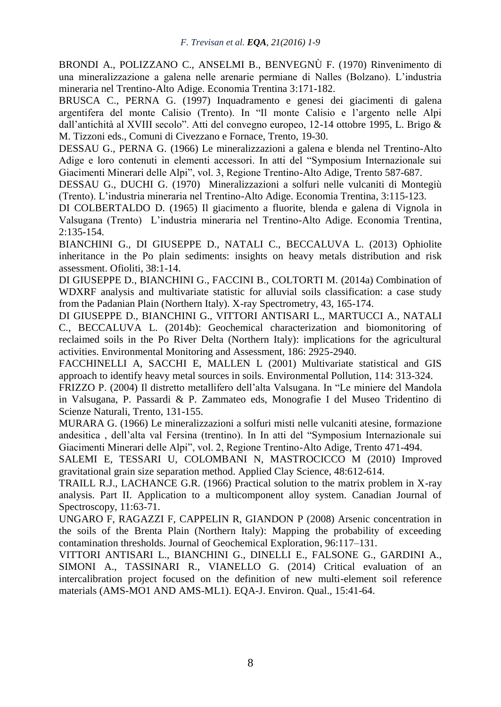BRONDI A., POLIZZANO C., ANSELMI B., BENVEGNÙ F. (1970) Rinvenimento di una mineralizzazione a galena nelle arenarie permiane di Nalles (Bolzano). L'industria mineraria nel Trentino-Alto Adige. Economia Trentina 3:171-182.

BRUSCA C., PERNA G. (1997) Inquadramento e genesi dei giacimenti di galena argentifera del monte Calisio (Trento). In "Il monte Calisio e l'argento nelle Alpi dall'antichità al XVIII secolo". Atti del convegno europeo, 12-14 ottobre 1995, L. Brigo & M. Tizzoni eds., Comuni di Civezzano e Fornace, Trento, 19-30.

DESSAU G., PERNA G. (1966) Le mineralizzazioni a galena e blenda nel Trentino-Alto Adige e loro contenuti in elementi accessori. In atti del "Symposium Internazionale sui Giacimenti Minerari delle Alpi", vol. 3, Regione Trentino-Alto Adige, Trento 587-687.

DESSAU G., DUCHI G. (1970) Mineralizzazioni a solfuri nelle vulcaniti di Montegiù (Trento). L'industria mineraria nel Trentino-Alto Adige. Economia Trentina, 3:115-123.

DI COLBERTALDO D. (1965) Il giacimento a fluorite, blenda e galena di Vignola in Valsugana (Trento) L'industria mineraria nel Trentino-Alto Adige. Economia Trentina, 2:135-154.

BIANCHINI G., DI GIUSEPPE D., NATALI C., BECCALUVA L. (2013) Ophiolite inheritance in the Po plain sediments: insights on heavy metals distribution and risk assessment. Ofioliti, 38:1-14.

DI GIUSEPPE D., BIANCHINI G., FACCINI B., COLTORTI M. (2014a) Combination of WDXRF analysis and multivariate statistic for alluvial soils classification: a case study from the Padanian Plain (Northern Italy). X-ray Spectrometry, 43, 165-174.

DI GIUSEPPE D., BIANCHINI G., VITTORI ANTISARI L., MARTUCCI A., NATALI C., BECCALUVA L. (2014b): Geochemical characterization and biomonitoring of reclaimed soils in the Po River Delta (Northern Italy): implications for the agricultural activities. Environmental Monitoring and Assessment, 186: 2925-2940.

FACCHINELLI A, SACCHI E, MALLEN L (2001) Multivariate statistical and GIS approach to identify heavy metal sources in soils. Environmental Pollution, 114: 313-324.

FRIZZO P. (2004) Il distretto metallifero dell'alta Valsugana. In "Le miniere del Mandola in Valsugana, P. Passardi & P. Zammateo eds, Monografie I del Museo Tridentino di Scienze Naturali, Trento, 131-155.

MURARA G. (1966) Le mineralizzazioni a solfuri misti nelle vulcaniti atesine, formazione andesitica , dell'alta val Fersina (trentino). In In atti del "Symposium Internazionale sui Giacimenti Minerari delle Alpi", vol. 2, Regione Trentino-Alto Adige, Trento 471-494.

SALEMI E, TESSARI U, COLOMBANI N, MASTROCICCO M (2010) Improved gravitational grain size separation method. Applied Clay Science, 48:612-614.

TRAILL R.J., LACHANCE G.R. (1966) Practical solution to the matrix problem in X-ray analysis. Part II. Application to a multicomponent alloy system. Canadian Journal of Spectroscopy, 11:63-71.

UNGARO F, RAGAZZI F, CAPPELIN R, GIANDON P (2008) Arsenic concentration in the soils of the Brenta Plain (Northern Italy): Mapping the probability of exceeding contamination thresholds. Journal of Geochemical Exploration, 96:117–131.

VITTORI ANTISARI L., BIANCHINI G., DINELLI E., FALSONE G., GARDINI A., SIMONI A., TASSINARI R., VIANELLO G. (2014) Critical evaluation of an intercalibration project focused on the definition of new multi-element soil reference materials (AMS-MO1 AND AMS-ML1). EQA-J. Environ. Qual., 15:41-64.